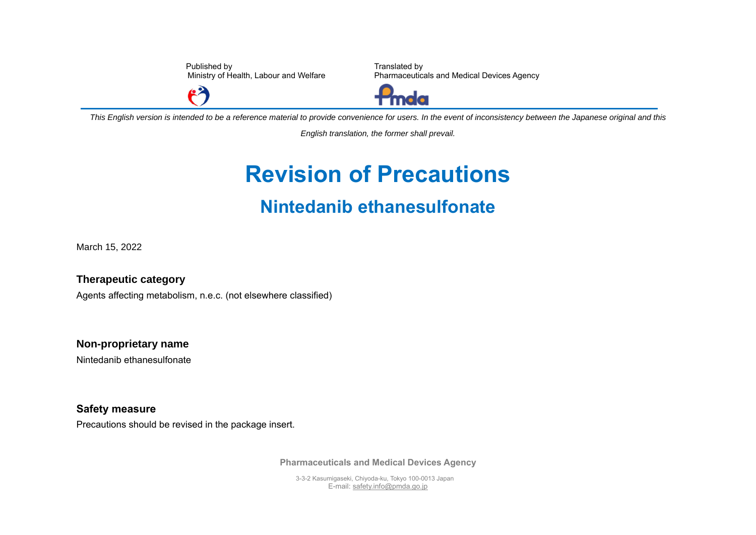Published by Ministry of Health, Labour and Welfare

Translated by Pharmaceuticals and Medical Devices Agency



*This English version is intended to be a reference material to provide convenience for users. In the event of inconsistency between the Japanese original and this* 

*English translation, the former shall prevail.*

## **Revision of Precautions Nintedanib ethanesulfonate**

March 15, 2022

**Therapeutic category** Agents affecting metabolism, n.e.c. (not elsewhere classified)

 $\mathbf{P}$ 

**Non-proprietary name** Nintedanib ethanesulfonate

**Safety measure** Precautions should be revised in the package insert.

**Pharmaceuticals and Medical Devices Agency**

3-3-2 Kasumigaseki, Chiyoda-ku, Tokyo 100-0013 Japan E-mail[: safety.info@pmda.go.jp](mailto:safety.info@pmda.go.jp)